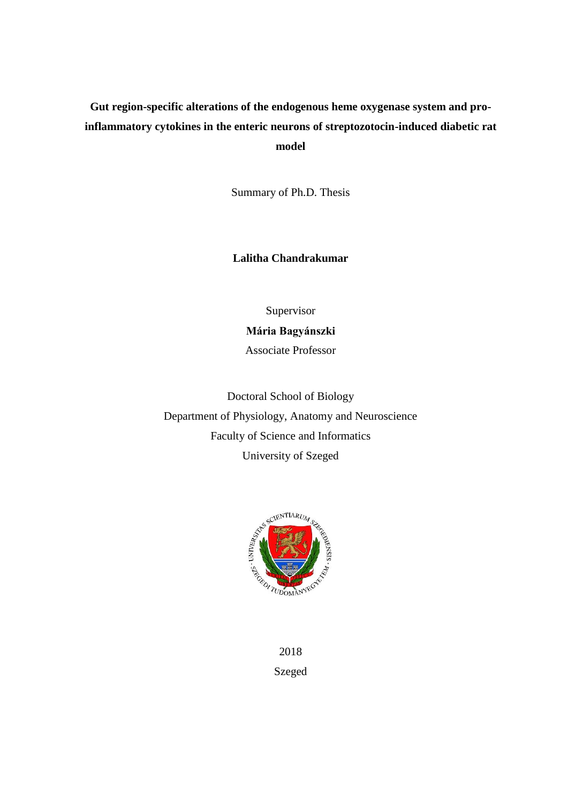# **Gut region-specific alterations of the endogenous heme oxygenase system and proinflammatory cytokines in the enteric neurons of streptozotocin-induced diabetic rat model**

Summary of Ph.D. Thesis

**Lalitha Chandrakumar**

Supervisor

## **Mária Bagyánszki**

Associate Professor

Doctoral School of Biology Department of Physiology, Anatomy and Neuroscience Faculty of Science and Informatics University of Szeged



2018 Szeged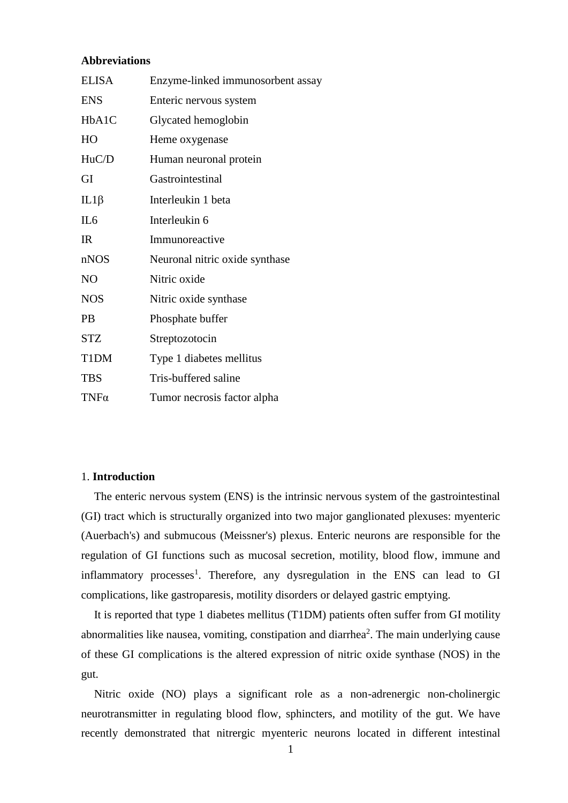## **Abbreviations**

| <b>ELISA</b>    | Enzyme-linked immunosorbent assay |  |
|-----------------|-----------------------------------|--|
| <b>ENS</b>      | Enteric nervous system            |  |
| HbA1C           | Glycated hemoglobin               |  |
| HO              | Heme oxygenase                    |  |
| HuC/D           | Human neuronal protein            |  |
| GI              | Gastrointestinal                  |  |
| $IL1\beta$      | Interleukin 1 beta                |  |
| IL <sub>6</sub> | Interleukin 6                     |  |
| IR              | Immunoreactive                    |  |
| nNOS            | Neuronal nitric oxide synthase    |  |
| NO              | Nitric oxide                      |  |
| <b>NOS</b>      | Nitric oxide synthase             |  |
| <b>PB</b>       | Phosphate buffer                  |  |
| <b>STZ</b>      | Streptozotocin                    |  |
| T1DM            | Type 1 diabetes mellitus          |  |
| <b>TBS</b>      | Tris-buffered saline              |  |
| $TNF\alpha$     | Tumor necrosis factor alpha       |  |

### 1. **Introduction**

The enteric nervous system (ENS) is the intrinsic nervous system of the gastrointestinal (GI) tract which is structurally organized into two major ganglionated plexuses: myenteric (Auerbach's) and submucous (Meissner's) plexus. Enteric neurons are responsible for the regulation of GI functions such as mucosal secretion, motility, blood flow, immune and inflammatory processes<sup>1</sup>. Therefore, any dysregulation in the ENS can lead to GI complications, like gastroparesis, motility disorders or delayed gastric emptying.

It is reported that type 1 diabetes mellitus (T1DM) patients often suffer from GI motility abnormalities like nausea, vomiting, constipation and diarrhea<sup>2</sup>. The main underlying cause of these GI complications is the altered expression of nitric oxide synthase (NOS) in the gut.

Nitric oxide (NO) plays a significant role as a non-adrenergic non-cholinergic neurotransmitter in regulating blood flow, sphincters, and motility of the gut. We have recently demonstrated that nitrergic myenteric neurons located in different intestinal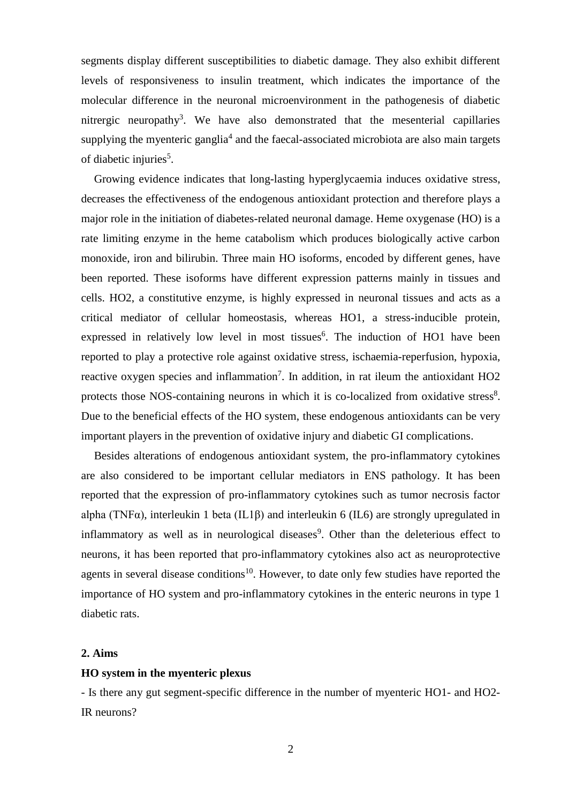segments display different susceptibilities to diabetic damage. They also exhibit different levels of responsiveness to insulin treatment, which indicates the importance of the molecular difference in the neuronal microenvironment in the pathogenesis of diabetic nitrergic neuropathy<sup>3</sup>. We have also demonstrated that the mesenterial capillaries supplying the myenteric ganglia<sup>4</sup> and the faecal-associated microbiota are also main targets of diabetic injuries<sup>5</sup>.

Growing evidence indicates that long-lasting hyperglycaemia induces oxidative stress, decreases the effectiveness of the endogenous antioxidant protection and therefore plays a major role in the initiation of diabetes-related neuronal damage. Heme oxygenase (HO) is a rate limiting enzyme in the heme catabolism which produces biologically active carbon monoxide, iron and bilirubin. Three main HO isoforms, encoded by different genes, have been reported. These isoforms have different expression patterns mainly in tissues and cells. HO2, a constitutive enzyme, is highly expressed in neuronal tissues and acts as a critical mediator of cellular homeostasis, whereas HO1, a stress-inducible protein, expressed in relatively low level in most tissues<sup>6</sup>. The induction of HO1 have been reported to play a protective role against oxidative stress, ischaemia-reperfusion, hypoxia, reactive oxygen species and inflammation<sup>7</sup>. In addition, in rat ileum the antioxidant  $HO2$ protects those NOS-containing neurons in which it is co-localized from oxidative stress<sup>8</sup>. Due to the beneficial effects of the HO system, these endogenous antioxidants can be very important players in the prevention of oxidative injury and diabetic GI complications.

Besides alterations of endogenous antioxidant system, the pro-inflammatory cytokines are also considered to be important cellular mediators in ENS pathology. It has been reported that the expression of pro-inflammatory cytokines such as tumor necrosis factor alpha (TNF $\alpha$ ), interleukin 1 beta (IL1 $\beta$ ) and interleukin 6 (IL6) are strongly upregulated in inflammatory as well as in neurological diseases<sup>9</sup>. Other than the deleterious effect to neurons, it has been reported that pro-inflammatory cytokines also act as neuroprotective agents in several disease conditions<sup>10</sup>. However, to date only few studies have reported the importance of HO system and pro-inflammatory cytokines in the enteric neurons in type 1 diabetic rats.

### **2. Aims**

## **HO system in the myenteric plexus**

- Is there any gut segment-specific difference in the number of myenteric HO1- and HO2- IR neurons?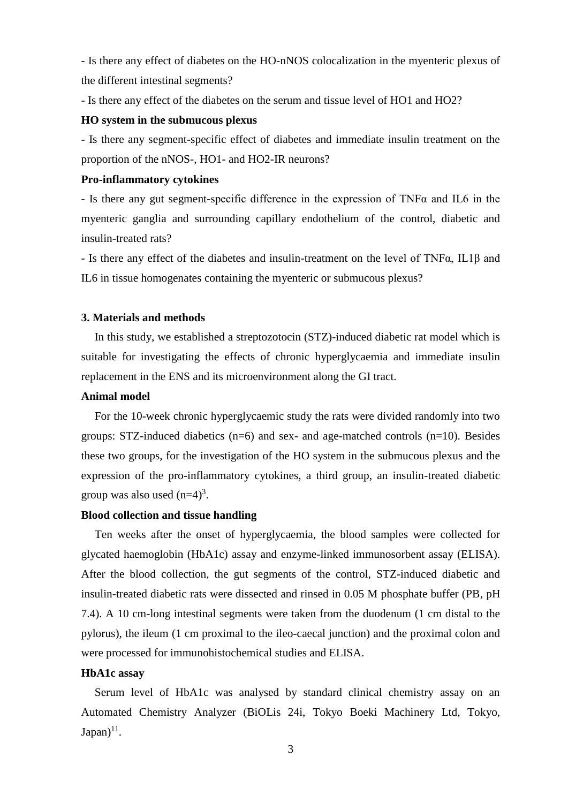- Is there any effect of diabetes on the HO-nNOS colocalization in the myenteric plexus of the different intestinal segments?

- Is there any effect of the diabetes on the serum and tissue level of HO1 and HO2?

### **HO system in the submucous plexus**

- Is there any segment-specific effect of diabetes and immediate insulin treatment on the proportion of the nNOS-, HO1- and HO2-IR neurons?

### **Pro-inflammatory cytokines**

- Is there any gut segment-specific difference in the expression of TNFα and IL6 in the myenteric ganglia and surrounding capillary endothelium of the control, diabetic and insulin-treated rats?

- Is there any effect of the diabetes and insulin-treatment on the level of TNFα, IL1β and IL6 in tissue homogenates containing the myenteric or submucous plexus?

## **3. Materials and methods**

In this study, we established a streptozotocin (STZ)-induced diabetic rat model which is suitable for investigating the effects of chronic hyperglycaemia and immediate insulin replacement in the ENS and its microenvironment along the GI tract.

### **Animal model**

For the 10-week chronic hyperglycaemic study the rats were divided randomly into two groups:  $STZ$ -induced diabetics ( $n=6$ ) and sex- and age-matched controls ( $n=10$ ). Besides these two groups, for the investigation of the HO system in the submucous plexus and the expression of the pro-inflammatory cytokines, a third group, an insulin-treated diabetic group was also used  $(n=4)^3$ .

### **Blood collection and tissue handling**

Ten weeks after the onset of hyperglycaemia, the blood samples were collected for glycated haemoglobin (HbA1c) assay and enzyme-linked immunosorbent assay (ELISA). After the blood collection, the gut segments of the control, STZ-induced diabetic and insulin-treated diabetic rats were dissected and rinsed in 0.05 M phosphate buffer (PB, pH 7.4). A 10 cm-long intestinal segments were taken from the duodenum (1 cm distal to the pylorus), the ileum (1 cm proximal to the ileo-caecal junction) and the proximal colon and were processed for immunohistochemical studies and ELISA.

## **HbA1c assay**

Serum level of HbA1c was analysed by standard clinical chemistry assay on an Automated Chemistry Analyzer (BiOLis 24i, Tokyo Boeki Machinery Ltd, Tokyo,  $\text{Japan})^{11}$ .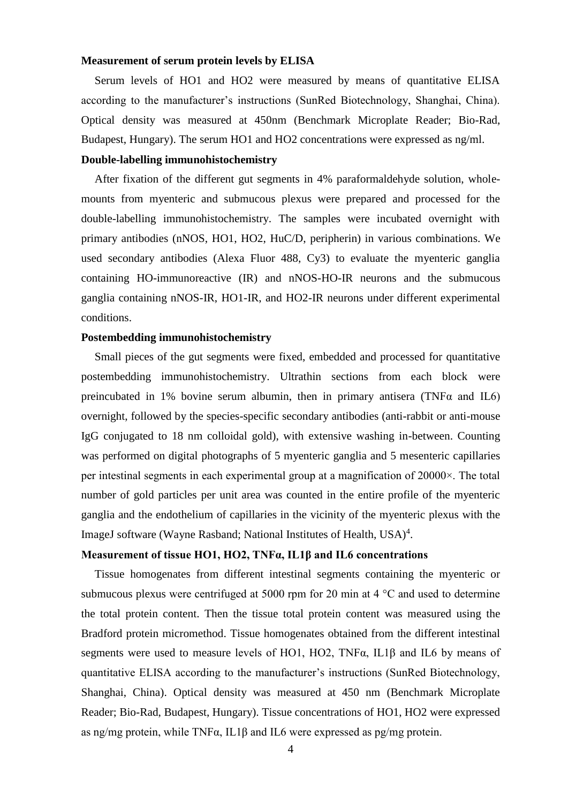### **Measurement of serum protein levels by ELISA**

Serum levels of HO1 and HO2 were measured by means of quantitative ELISA according to the manufacturer's instructions (SunRed Biotechnology, Shanghai, China). Optical density was measured at 450nm (Benchmark Microplate Reader; Bio-Rad, Budapest, Hungary). The serum HO1 and HO2 concentrations were expressed as ng/ml.

### **Double-labelling immunohistochemistry**

After fixation of the different gut segments in 4% paraformaldehyde solution, wholemounts from myenteric and submucous plexus were prepared and processed for the double-labelling immunohistochemistry. The samples were incubated overnight with primary antibodies (nNOS, HO1, HO2, HuC/D, peripherin) in various combinations. We used secondary antibodies (Alexa Fluor 488, Cy3) to evaluate the myenteric ganglia containing HO-immunoreactive (IR) and nNOS-HO-IR neurons and the submucous ganglia containing nNOS-IR, HO1-IR, and HO2-IR neurons under different experimental conditions.

### **Postembedding immunohistochemistry**

Small pieces of the gut segments were fixed, embedded and processed for quantitative postembedding immunohistochemistry. Ultrathin sections from each block were preincubated in 1% bovine serum albumin, then in primary antisera (TNF $\alpha$  and IL6) overnight, followed by the species-specific secondary antibodies (anti-rabbit or anti-mouse IgG conjugated to 18 nm colloidal gold), with extensive washing in-between. Counting was performed on digital photographs of 5 myenteric ganglia and 5 mesenteric capillaries per intestinal segments in each experimental group at a magnification of 20000×. The total number of gold particles per unit area was counted in the entire profile of the myenteric ganglia and the endothelium of capillaries in the vicinity of the myenteric plexus with the ImageJ software (Wayne Rasband; National Institutes of Health, USA)<sup>4</sup>.

## **Measurement of tissue HO1, HO2, TNFα, IL1β and IL6 concentrations**

Tissue homogenates from different intestinal segments containing the myenteric or submucous plexus were centrifuged at 5000 rpm for 20 min at  $4^{\circ}$ C and used to determine the total protein content. Then the tissue total protein content was measured using the Bradford protein micromethod. Tissue homogenates obtained from the different intestinal segments were used to measure levels of HO1, HO2, TNFα, IL1β and IL6 by means of quantitative ELISA according to the manufacturer's instructions (SunRed Biotechnology, Shanghai, China). Optical density was measured at 450 nm (Benchmark Microplate Reader; Bio-Rad, Budapest, Hungary). Tissue concentrations of HO1, HO2 were expressed as ng/mg protein, while TNFα, IL1β and IL6 were expressed as pg/mg protein.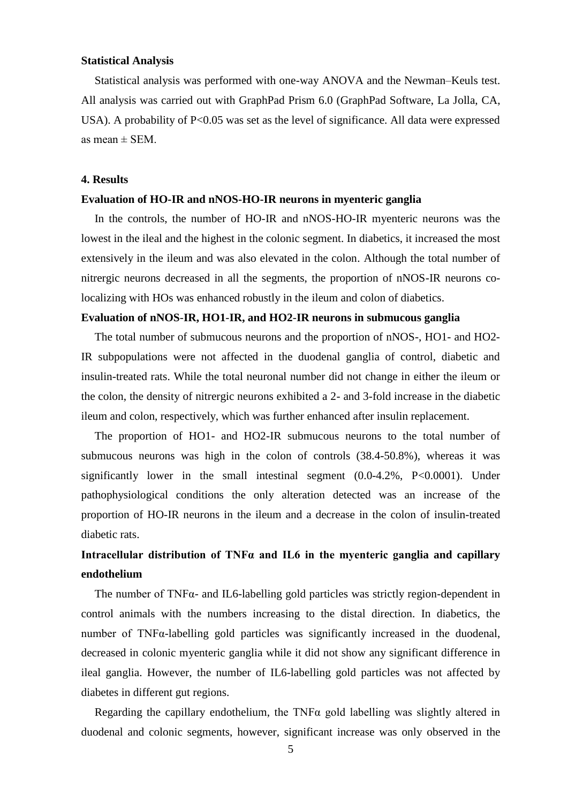### **Statistical Analysis**

Statistical analysis was performed with one-way ANOVA and the Newman–Keuls test. All analysis was carried out with GraphPad Prism 6.0 (GraphPad Software, La Jolla, CA, USA). A probability of  $P<0.05$  was set as the level of significance. All data were expressed as mean  $\pm$  SEM.

### **4. Results**

### **Evaluation of HO-IR and nNOS-HO-IR neurons in myenteric ganglia**

In the controls, the number of HO-IR and nNOS-HO-IR myenteric neurons was the lowest in the ileal and the highest in the colonic segment. In diabetics, it increased the most extensively in the ileum and was also elevated in the colon. Although the total number of nitrergic neurons decreased in all the segments, the proportion of nNOS-IR neurons colocalizing with HOs was enhanced robustly in the ileum and colon of diabetics.

## **Evaluation of nNOS**-**IR, HO1**-**IR, and HO2**-**IR neurons in submucous ganglia**

The total number of submucous neurons and the proportion of nNOS-, HO1- and HO2- IR subpopulations were not affected in the duodenal ganglia of control, diabetic and insulin-treated rats. While the total neuronal number did not change in either the ileum or the colon, the density of nitrergic neurons exhibited a 2- and 3-fold increase in the diabetic ileum and colon, respectively, which was further enhanced after insulin replacement.

The proportion of HO1- and HO2-IR submucous neurons to the total number of submucous neurons was high in the colon of controls (38.4-50.8%), whereas it was significantly lower in the small intestinal segment  $(0.0-4.2\% , P<0.0001)$ . Under pathophysiological conditions the only alteration detected was an increase of the proportion of HO-IR neurons in the ileum and a decrease in the colon of insulin-treated diabetic rats.

## **Intracellular distribution of TNFα and IL6 in the myenteric ganglia and capillary endothelium**

The number of TNF $\alpha$ - and IL6-labelling gold particles was strictly region-dependent in control animals with the numbers increasing to the distal direction. In diabetics, the number of  $TNF\alpha$ -labelling gold particles was significantly increased in the duodenal, decreased in colonic myenteric ganglia while it did not show any significant difference in ileal ganglia. However, the number of IL6-labelling gold particles was not affected by diabetes in different gut regions.

Regarding the capillary endothelium, the TNF $\alpha$  gold labelling was slightly altered in duodenal and colonic segments, however, significant increase was only observed in the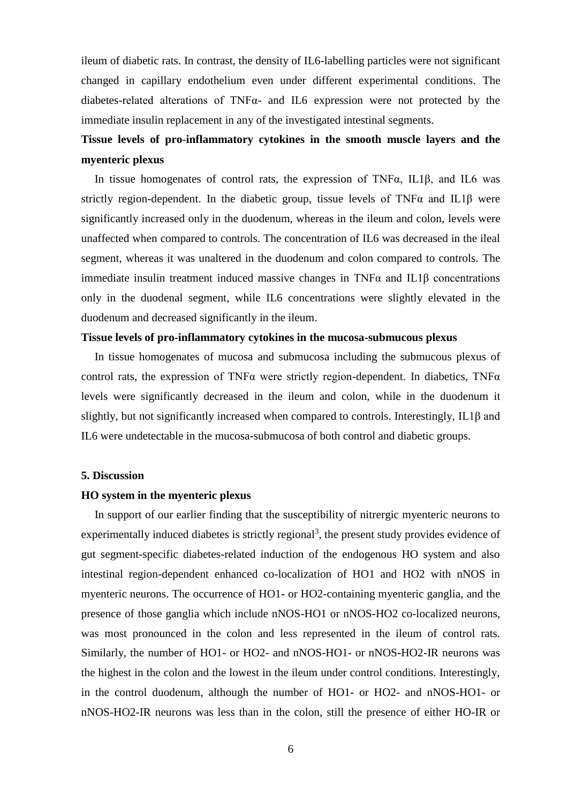ileum of diabetic rats. In contrast, the density of IL6-labelling particles were not significant changed in capillary endothelium even under different experimental conditions. The diabetes-related alterations of TNFα- and IL6 expression were not protected by the immediate insulin replacement in any of the investigated intestinal segments.

# **Tissue levels of pro**-**inflammatory cytokines in the smooth muscle layers and the myenteric plexus**

In tissue homogenates of control rats, the expression of TNFα, IL1β, and IL6 was strictly region-dependent. In the diabetic group, tissue levels of TNF $\alpha$  and IL1 $\beta$  were significantly increased only in the duodenum, whereas in the ileum and colon, levels were unaffected when compared to controls. The concentration of IL6 was decreased in the ileal segment, whereas it was unaltered in the duodenum and colon compared to controls. The immediate insulin treatment induced massive changes in  $TNF\alpha$  and  $IL1\beta$  concentrations only in the duodenal segment, while IL6 concentrations were slightly elevated in the duodenum and decreased significantly in the ileum.

### **Tissue levels of pro-inflammatory cytokines in the mucosa-submucous plexus**

In tissue homogenates of mucosa and submucosa including the submucous plexus of control rats, the expression of TNF $\alpha$  were strictly region-dependent. In diabetics, TNF $\alpha$ levels were significantly decreased in the ileum and colon, while in the duodenum it slightly, but not significantly increased when compared to controls. Interestingly, IL1β and IL6 were undetectable in the mucosa-submucosa of both control and diabetic groups.

### **5. Discussion**

### **HO system in the myenteric plexus**

In support of our earlier finding that the susceptibility of nitrergic myenteric neurons to experimentally induced diabetes is strictly regional<sup>3</sup>, the present study provides evidence of gut segment-specific diabetes-related induction of the endogenous HO system and also intestinal region-dependent enhanced co-localization of HO1 and HO2 with nNOS in myenteric neurons. The occurrence of HO1- or HO2-containing myenteric ganglia, and the presence of those ganglia which include nNOS-HO1 or nNOS-HO2 co-localized neurons, was most pronounced in the colon and less represented in the ileum of control rats. Similarly, the number of HO1- or HO2- and nNOS-HO1- or nNOS-HO2-IR neurons was the highest in the colon and the lowest in the ileum under control conditions. Interestingly, in the control duodenum, although the number of HO1- or HO2- and nNOS-HO1- or nNOS-HO2-IR neurons was less than in the colon, still the presence of either HO-IR or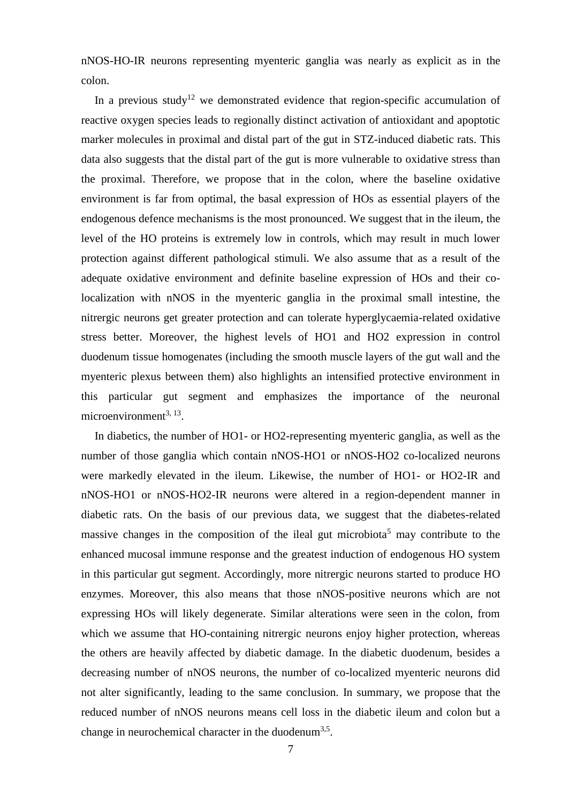nNOS-HO-IR neurons representing myenteric ganglia was nearly as explicit as in the colon.

In a previous study<sup>12</sup> we demonstrated evidence that region-specific accumulation of reactive oxygen species leads to regionally distinct activation of antioxidant and apoptotic marker molecules in proximal and distal part of the gut in STZ-induced diabetic rats. This data also suggests that the distal part of the gut is more vulnerable to oxidative stress than the proximal. Therefore, we propose that in the colon, where the baseline oxidative environment is far from optimal, the basal expression of HOs as essential players of the endogenous defence mechanisms is the most pronounced. We suggest that in the ileum, the level of the HO proteins is extremely low in controls, which may result in much lower protection against different pathological stimuli. We also assume that as a result of the adequate oxidative environment and definite baseline expression of HOs and their colocalization with nNOS in the myenteric ganglia in the proximal small intestine, the nitrergic neurons get greater protection and can tolerate hyperglycaemia-related oxidative stress better. Moreover, the highest levels of HO1 and HO2 expression in control duodenum tissue homogenates (including the smooth muscle layers of the gut wall and the myenteric plexus between them) also highlights an intensified protective environment in this particular gut segment and emphasizes the importance of the neuronal  $microenvironment<sup>3, 13</sup>$ .

In diabetics, the number of HO1- or HO2-representing myenteric ganglia, as well as the number of those ganglia which contain nNOS-HO1 or nNOS-HO2 co-localized neurons were markedly elevated in the ileum. Likewise, the number of HO1- or HO2-IR and nNOS-HO1 or nNOS-HO2-IR neurons were altered in a region-dependent manner in diabetic rats. On the basis of our previous data, we suggest that the diabetes-related massive changes in the composition of the ileal gut microbiota<sup>5</sup> may contribute to the enhanced mucosal immune response and the greatest induction of endogenous HO system in this particular gut segment. Accordingly, more nitrergic neurons started to produce HO enzymes. Moreover, this also means that those nNOS-positive neurons which are not expressing HOs will likely degenerate. Similar alterations were seen in the colon, from which we assume that HO-containing nitrergic neurons enjoy higher protection, whereas the others are heavily affected by diabetic damage. In the diabetic duodenum, besides a decreasing number of nNOS neurons, the number of co-localized myenteric neurons did not alter significantly, leading to the same conclusion. In summary, we propose that the reduced number of nNOS neurons means cell loss in the diabetic ileum and colon but a change in neurochemical character in the duodenum<sup>3,5</sup>.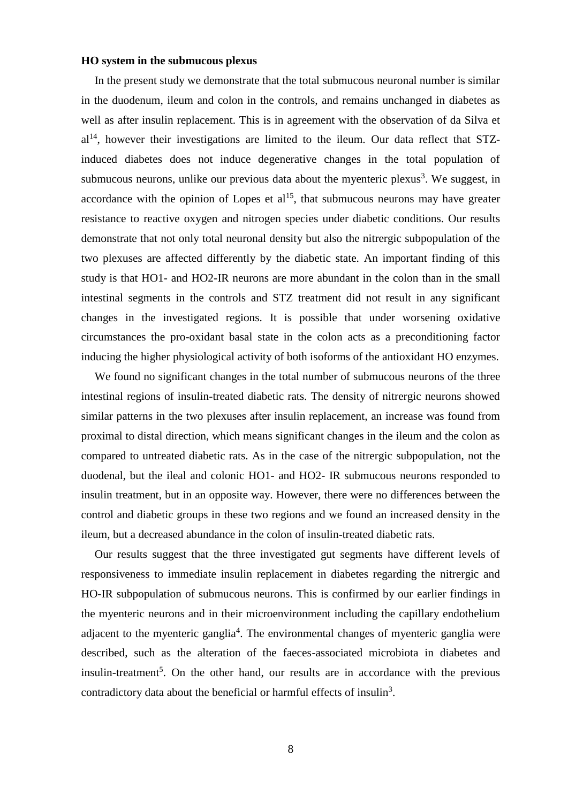### **HO system in the submucous plexus**

In the present study we demonstrate that the total submucous neuronal number is similar in the duodenum, ileum and colon in the controls, and remains unchanged in diabetes as well as after insulin replacement. This is in agreement with the observation of da Silva et  $al<sup>14</sup>$ , however their investigations are limited to the ileum. Our data reflect that STZinduced diabetes does not induce degenerative changes in the total population of submucous neurons, unlike our previous data about the myenteric plexus<sup>3</sup>. We suggest, in accordance with the opinion of Lopes et  $al<sup>15</sup>$ , that submucous neurons may have greater resistance to reactive oxygen and nitrogen species under diabetic conditions. Our results demonstrate that not only total neuronal density but also the nitrergic subpopulation of the two plexuses are affected differently by the diabetic state. An important finding of this study is that HO1- and HO2-IR neurons are more abundant in the colon than in the small intestinal segments in the controls and STZ treatment did not result in any significant changes in the investigated regions. It is possible that under worsening oxidative circumstances the pro-oxidant basal state in the colon acts as a preconditioning factor inducing the higher physiological activity of both isoforms of the antioxidant HO enzymes.

We found no significant changes in the total number of submucous neurons of the three intestinal regions of insulin-treated diabetic rats. The density of nitrergic neurons showed similar patterns in the two plexuses after insulin replacement, an increase was found from proximal to distal direction, which means significant changes in the ileum and the colon as compared to untreated diabetic rats. As in the case of the nitrergic subpopulation, not the duodenal, but the ileal and colonic HO1- and HO2- IR submucous neurons responded to insulin treatment, but in an opposite way. However, there were no differences between the control and diabetic groups in these two regions and we found an increased density in the ileum, but a decreased abundance in the colon of insulin-treated diabetic rats.

Our results suggest that the three investigated gut segments have different levels of responsiveness to immediate insulin replacement in diabetes regarding the nitrergic and HO-IR subpopulation of submucous neurons. This is confirmed by our earlier findings in the myenteric neurons and in their microenvironment including the capillary endothelium adjacent to the myenteric ganglia<sup>4</sup>. The environmental changes of myenteric ganglia were described, such as the alteration of the faeces-associated microbiota in diabetes and insulin-treatment<sup>5</sup>. On the other hand, our results are in accordance with the previous contradictory data about the beneficial or harmful effects of insulin<sup>3</sup>.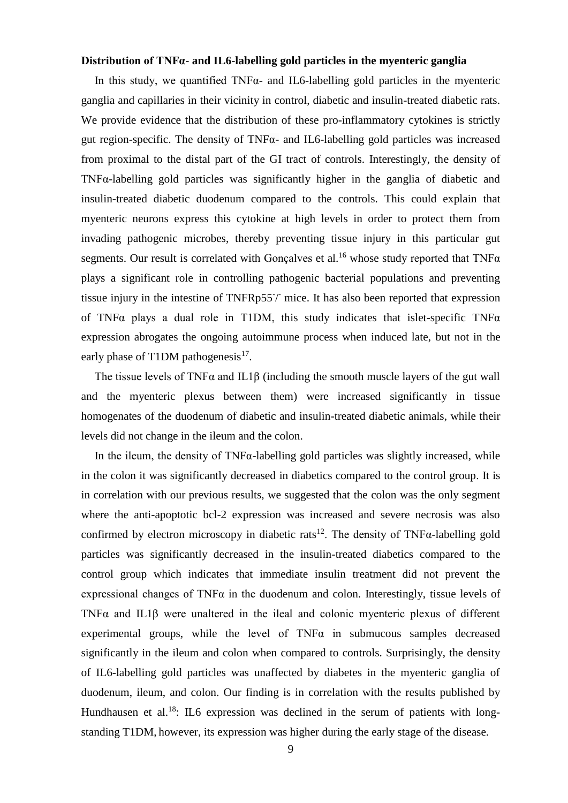## **Distribution of TNFα**- **and IL6**-**labelling gold particles in the myenteric ganglia**

In this study, we quantified TNFα- and IL6-labelling gold particles in the myenteric ganglia and capillaries in their vicinity in control, diabetic and insulin-treated diabetic rats. We provide evidence that the distribution of these pro-inflammatory cytokines is strictly gut region-specific. The density of TNFα- and IL6-labelling gold particles was increased from proximal to the distal part of the GI tract of controls. Interestingly, the density of TNFα-labelling gold particles was significantly higher in the ganglia of diabetic and insulin-treated diabetic duodenum compared to the controls. This could explain that myenteric neurons express this cytokine at high levels in order to protect them from invading pathogenic microbes, thereby preventing tissue injury in this particular gut segments. Our result is correlated with Gonçalves et al.<sup>16</sup> whose study reported that  $TNF\alpha$ plays a significant role in controlling pathogenic bacterial populations and preventing tissue injury in the intestine of TNFRp55/ mice. It has also been reported that expression of TNF $\alpha$  plays a dual role in T1DM, this study indicates that islet-specific TNF $\alpha$ expression abrogates the ongoing autoimmune process when induced late, but not in the early phase of T1DM pathogenesis<sup>17</sup>.

The tissue levels of TNF $\alpha$  and IL1 $\beta$  (including the smooth muscle layers of the gut wall and the myenteric plexus between them) were increased significantly in tissue homogenates of the duodenum of diabetic and insulin-treated diabetic animals, while their levels did not change in the ileum and the colon.

In the ileum, the density of TNFα-labelling gold particles was slightly increased, while in the colon it was significantly decreased in diabetics compared to the control group. It is in correlation with our previous results, we suggested that the colon was the only segment where the anti-apoptotic bcl-2 expression was increased and severe necrosis was also confirmed by electron microscopy in diabetic rats<sup>12</sup>. The density of  $TNF\alpha$ -labelling gold particles was significantly decreased in the insulin-treated diabetics compared to the control group which indicates that immediate insulin treatment did not prevent the expressional changes of  $TNF\alpha$  in the duodenum and colon. Interestingly, tissue levels of TNFα and IL1β were unaltered in the ileal and colonic myenteric plexus of different experimental groups, while the level of  $TNF\alpha$  in submucous samples decreased significantly in the ileum and colon when compared to controls. Surprisingly, the density of IL6-labelling gold particles was unaffected by diabetes in the myenteric ganglia of duodenum, ileum, and colon. Our finding is in correlation with the results published by Hundhausen et al.<sup>18</sup>: IL6 expression was declined in the serum of patients with longstanding T1DM, however, its expression was higher during the early stage of the disease.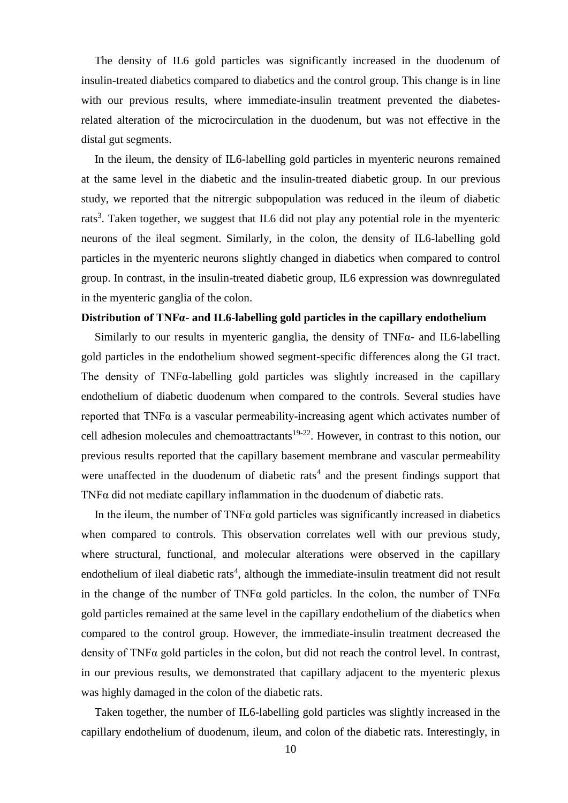The density of IL6 gold particles was significantly increased in the duodenum of insulin-treated diabetics compared to diabetics and the control group. This change is in line with our previous results, where immediate-insulin treatment prevented the diabetesrelated alteration of the microcirculation in the duodenum, but was not effective in the distal gut segments.

In the ileum, the density of IL6-labelling gold particles in myenteric neurons remained at the same level in the diabetic and the insulin-treated diabetic group. In our previous study, we reported that the nitrergic subpopulation was reduced in the ileum of diabetic rats<sup>3</sup>. Taken together, we suggest that IL6 did not play any potential role in the myenteric neurons of the ileal segment. Similarly, in the colon, the density of IL6-labelling gold particles in the myenteric neurons slightly changed in diabetics when compared to control group. In contrast, in the insulin-treated diabetic group, IL6 expression was downregulated in the myenteric ganglia of the colon.

### **Distribution of TNFα- and IL6**-**labelling gold particles in the capillary endothelium**

Similarly to our results in myenteric ganglia, the density of TNFα- and IL6-labelling gold particles in the endothelium showed segment-specific differences along the GI tract. The density of  $TNF\alpha$ -labelling gold particles was slightly increased in the capillary endothelium of diabetic duodenum when compared to the controls. Several studies have reported that  $TNF\alpha$  is a vascular permeability-increasing agent which activates number of cell adhesion molecules and chemoattractants<sup>19-22</sup>. However, in contrast to this notion, our previous results reported that the capillary basement membrane and vascular permeability were unaffected in the duodenum of diabetic rats<sup>4</sup> and the present findings support that TNFα did not mediate capillary inflammation in the duodenum of diabetic rats.

In the ileum, the number of  $TNF\alpha$  gold particles was significantly increased in diabetics when compared to controls. This observation correlates well with our previous study, where structural, functional, and molecular alterations were observed in the capillary endothelium of ileal diabetic rats<sup>4</sup>, although the immediate-insulin treatment did not result in the change of the number of TNF $\alpha$  gold particles. In the colon, the number of TNF $\alpha$ gold particles remained at the same level in the capillary endothelium of the diabetics when compared to the control group. However, the immediate-insulin treatment decreased the density of TNFα gold particles in the colon, but did not reach the control level. In contrast, in our previous results, we demonstrated that capillary adjacent to the myenteric plexus was highly damaged in the colon of the diabetic rats.

Taken together, the number of IL6-labelling gold particles was slightly increased in the capillary endothelium of duodenum, ileum, and colon of the diabetic rats. Interestingly, in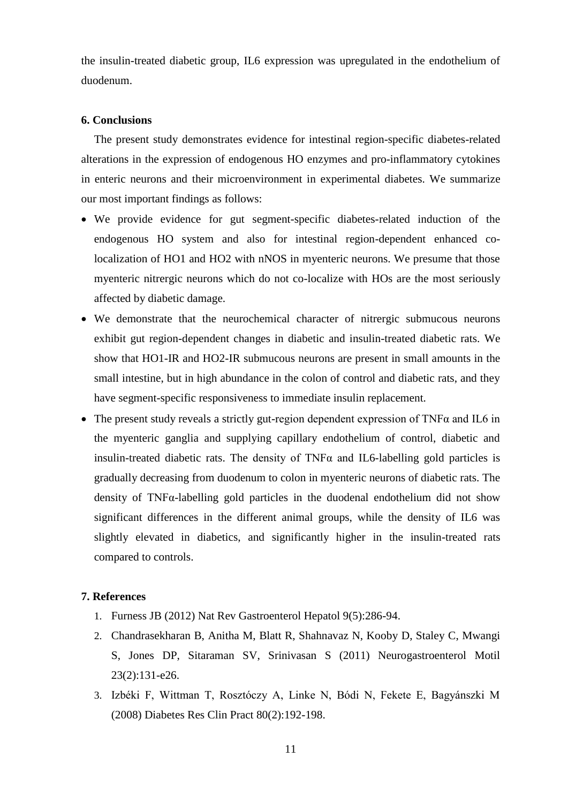the insulin-treated diabetic group, IL6 expression was upregulated in the endothelium of duodenum.

### **6. Conclusions**

The present study demonstrates evidence for intestinal region-specific diabetes-related alterations in the expression of endogenous HO enzymes and pro-inflammatory cytokines in enteric neurons and their microenvironment in experimental diabetes. We summarize our most important findings as follows:

- We provide evidence for gut segment-specific diabetes-related induction of the endogenous HO system and also for intestinal region-dependent enhanced colocalization of HO1 and HO2 with nNOS in myenteric neurons. We presume that those myenteric nitrergic neurons which do not co-localize with HOs are the most seriously affected by diabetic damage.
- We demonstrate that the neurochemical character of nitrergic submucous neurons exhibit gut region-dependent changes in diabetic and insulin-treated diabetic rats. We show that HO1-IR and HO2-IR submucous neurons are present in small amounts in the small intestine, but in high abundance in the colon of control and diabetic rats, and they have segment-specific responsiveness to immediate insulin replacement.
- The present study reveals a strictly gut-region dependent expression of TNF $\alpha$  and IL6 in the myenteric ganglia and supplying capillary endothelium of control, diabetic and insulin-treated diabetic rats. The density of  $TNF\alpha$  and IL6-labelling gold particles is gradually decreasing from duodenum to colon in myenteric neurons of diabetic rats. The density of TNFα-labelling gold particles in the duodenal endothelium did not show significant differences in the different animal groups, while the density of IL6 was slightly elevated in diabetics, and significantly higher in the insulin-treated rats compared to controls.

### **7. References**

- 1. Furness JB (2012) Nat Rev Gastroenterol Hepatol 9(5):286-94.
- 2. Chandrasekharan B, Anitha M, Blatt R, Shahnavaz N, Kooby D, Staley C, Mwangi S, Jones DP, Sitaraman SV, Srinivasan S (2011) Neurogastroenterol Motil 23(2):131-e26.
- 3. Izbéki F, Wittman T, Rosztóczy A, Linke N, Bódi N, Fekete E, Bagyánszki M (2008) Diabetes Res Clin Pract 80(2):192-198.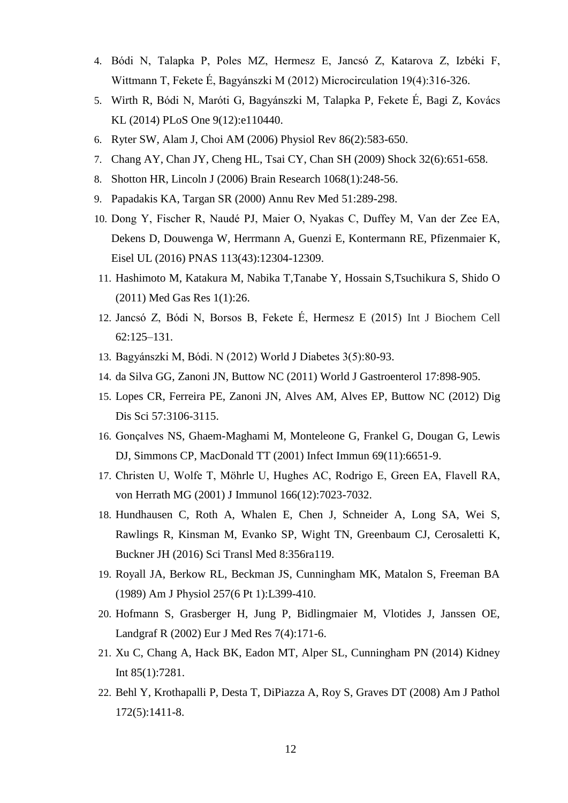- 4. Bódi N, Talapka P, Poles MZ, Hermesz E, Jancsó Z, Katarova Z, Izbéki F, Wittmann T, Fekete É, Bagyánszki M (2012) Microcirculation 19(4):316-326.
- 5. [Wirth R,](https://www.ncbi.nlm.nih.gov/pubmed/?term=Wirth%20R%5BAuthor%5D&cauthor=true&cauthor_uid=25469509) [Bódi N,](https://www.ncbi.nlm.nih.gov/pubmed/?term=B%C3%B3di%20N%5BAuthor%5D&cauthor=true&cauthor_uid=25469509) [Maróti G,](https://www.ncbi.nlm.nih.gov/pubmed/?term=Mar%C3%B3ti%20G%5BAuthor%5D&cauthor=true&cauthor_uid=25469509) [Bagyánszki M,](https://www.ncbi.nlm.nih.gov/pubmed/?term=Bagy%C3%A1nszki%20M%5BAuthor%5D&cauthor=true&cauthor_uid=25469509) [Talapka P,](https://www.ncbi.nlm.nih.gov/pubmed/?term=Talapka%20P%5BAuthor%5D&cauthor=true&cauthor_uid=25469509) [Fekete É,](https://www.ncbi.nlm.nih.gov/pubmed/?term=Fekete%20%C3%89%5BAuthor%5D&cauthor=true&cauthor_uid=25469509) [Bagi Z,](https://www.ncbi.nlm.nih.gov/pubmed/?term=Bagi%20Z%5BAuthor%5D&cauthor=true&cauthor_uid=25469509) [Kovács](https://www.ncbi.nlm.nih.gov/pubmed/?term=Kov%C3%A1cs%20KL%5BAuthor%5D&cauthor=true&cauthor_uid=25469509)  [KL](https://www.ncbi.nlm.nih.gov/pubmed/?term=Kov%C3%A1cs%20KL%5BAuthor%5D&cauthor=true&cauthor_uid=25469509) (2014) PLoS One 9(12):e110440.
- 6. Ryter SW, Alam J, Choi AM (2006) Physiol Rev 86(2):583-650.
- 7. Chang AY, Chan JY, Cheng HL, Tsai CY, Chan SH (2009) Shock 32(6):651-658.
- 8. Shotton HR, Lincoln J (2006) Brain Research 1068(1):248-56.
- 9. Papadakis KA, Targan SR (2000) Annu Rev Med 51:289-298.
- 10. Dong Y, Fischer R, Naudé PJ, Maier O, Nyakas C, Duffey M, Van der Zee EA, Dekens D, Douwenga W, Herrmann A, Guenzi E, Kontermann RE, Pfizenmaier K, Eisel UL (2016) PNAS 113(43):12304-12309.
- 11. Hashimoto M, Katakura M, Nabika T,Tanabe Y, Hossain S,Tsuchikura S, Shido O (2011) Med Gas Res 1(1):26.
- 12. Jancsó Z, Bódi N, Borsos B, Fekete É, Hermesz E (2015) Int J Biochem Cell 62:125–131.
- 13. Bagyánszki M, Bódi. N (2012) World J Diabetes 3(5):80-93.
- 14. da Silva GG, Zanoni JN, Buttow NC (2011) World J Gastroenterol 17:898-905.
- 15. Lopes CR, Ferreira PE, Zanoni JN, Alves AM, Alves EP, Buttow NC (2012) Dig Dis Sci 57:3106-3115.
- 16. Gonçalves NS, Ghaem-Maghami M, Monteleone G, Frankel G, Dougan G, Lewis DJ, Simmons CP, MacDonald TT (2001) Infect Immun 69(11):6651-9.
- 17. Christen U, Wolfe T, Möhrle U, Hughes AC, Rodrigo E, Green EA, Flavell RA, von Herrath MG (2001) J Immunol 166(12):7023-7032.
- 18. Hundhausen C, Roth A, Whalen E, Chen J, Schneider A, Long SA, Wei S, Rawlings R, Kinsman M, Evanko SP, Wight TN, Greenbaum CJ, Cerosaletti K, Buckner JH (2016) Sci Transl Med 8:356ra119.
- 19. Royall JA, Berkow RL, Beckman JS, Cunningham MK, Matalon S, Freeman BA (1989) Am J Physiol 257(6 Pt 1):L399-410.
- 20. Hofmann S, Grasberger H, Jung P, Bidlingmaier M, Vlotides J, Janssen OE, Landgraf R (2002) Eur J Med Res 7(4):171-6.
- 21. Xu C, Chang A, Hack BK, Eadon MT, Alper SL, Cunningham PN (2014) Kidney Int 85(1):7281.
- 22. Behl Y, Krothapalli P, Desta T, DiPiazza A, Roy S, Graves DT (2008) Am J Pathol 172(5):1411-8.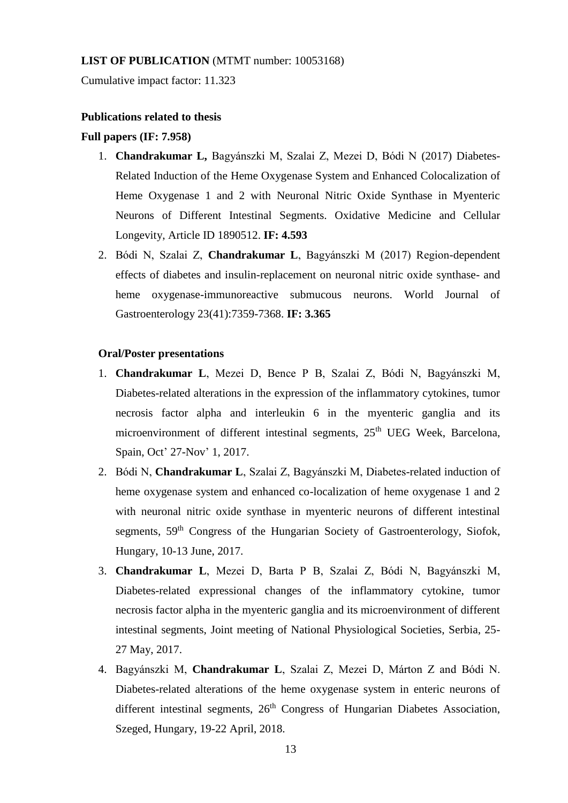## **LIST OF PUBLICATION** (MTMT number: 10053168)

Cumulative impact factor: 11.323

### **Publications related to thesis**

### **Full papers (IF: 7.958)**

- 1. **Chandrakumar L,** Bagyánszki M, Szalai Z, Mezei D, Bódi N (2017) Diabetes-Related Induction of the Heme Oxygenase System and Enhanced Colocalization of Heme Oxygenase 1 and 2 with Neuronal Nitric Oxide Synthase in Myenteric Neurons of Different Intestinal Segments. Oxidative Medicine and Cellular Longevity, Article ID 1890512. **IF: 4.593**
- 2. Bódi N, Szalai Z, **Chandrakumar L**, Bagyánszki M (2017) Region-dependent effects of diabetes and insulin-replacement on neuronal nitric oxide synthase- and heme oxygenase-immunoreactive submucous neurons. World Journal of Gastroenterology 23(41):7359-7368. **IF: 3.365**

## **Oral/Poster presentations**

- 1. **Chandrakumar L**, Mezei D, Bence P B, Szalai Z, Bódi N, Bagyánszki M, Diabetes-related alterations in the expression of the inflammatory cytokines, tumor necrosis factor alpha and interleukin 6 in the myenteric ganglia and its microenvironment of different intestinal segments, 25<sup>th</sup> UEG Week, Barcelona, Spain, Oct' 27-Nov' 1, 2017.
- 2. Bódi N, **Chandrakumar L**, Szalai Z, Bagyánszki M, Diabetes-related induction of heme oxygenase system and enhanced co-localization of heme oxygenase 1 and 2 with neuronal nitric oxide synthase in myenteric neurons of different intestinal segments, 59<sup>th</sup> Congress of the Hungarian Society of Gastroenterology, Siofok, Hungary, 10-13 June, 2017.
- 3. **Chandrakumar L**, Mezei D, Barta P B, Szalai Z, Bódi N, Bagyánszki M, Diabetes-related expressional changes of the inflammatory cytokine, tumor necrosis factor alpha in the myenteric ganglia and its microenvironment of different intestinal segments, Joint meeting of National Physiological Societies, Serbia, 25- 27 May, 2017.
- 4. Bagyánszki M, **Chandrakumar L**, Szalai Z, Mezei D, Márton Z and Bódi N. Diabetes-related alterations of the heme oxygenase system in enteric neurons of different intestinal segments,  $26<sup>th</sup>$  Congress of Hungarian Diabetes Association, Szeged, Hungary, 19-22 April, 2018.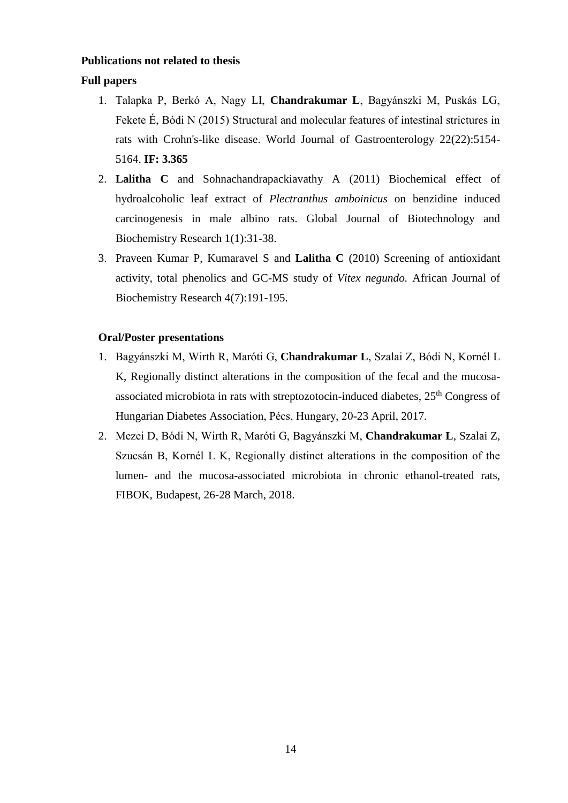## **Publications not related to thesis**

## **Full papers**

- 1. Talapka P, Berkó A, Nagy LI, **Chandrakumar L**, Bagyánszki M, Puskás LG, Fekete É, Bódi N (2015) Structural and molecular features of intestinal strictures in rats with Crohn's-like disease. World Journal of Gastroenterology 22(22):5154- 5164. **IF: 3.365**
- 2. **Lalitha C** and Sohnachandrapackiavathy A (2011) Biochemical effect of hydroalcoholic leaf extract of *Plectranthus amboinicus* on benzidine induced carcinogenesis in male albino rats. Global Journal of Biotechnology and Biochemistry Research 1(1):31-38.
- 3. Praveen Kumar P, Kumaravel S and **Lalitha C** (2010) Screening of antioxidant activity, total phenolics and GC-MS study of *Vitex negundo.* African Journal of Biochemistry Research 4(7):191-195.

### **Oral/Poster presentations**

- 1. Bagyánszki M, Wirth R, Maróti G, **Chandrakumar L**, Szalai Z, Bódi N, Kornél L K, Regionally distinct alterations in the composition of the fecal and the mucosaassociated microbiota in rats with streptozotocin-induced diabetes,  $25<sup>th</sup>$  Congress of Hungarian Diabetes Association, Pécs, Hungary, 20-23 April, 2017.
- 2. Mezei D, Bódi N, Wirth R, Maróti G, Bagyánszki M, **Chandrakumar L**, Szalai Z, Szucsán B, Kornél L K, Regionally distinct alterations in the composition of the lumen- and the mucosa-associated microbiota in chronic ethanol-treated rats, FIBOK, Budapest, 26-28 March, 2018.